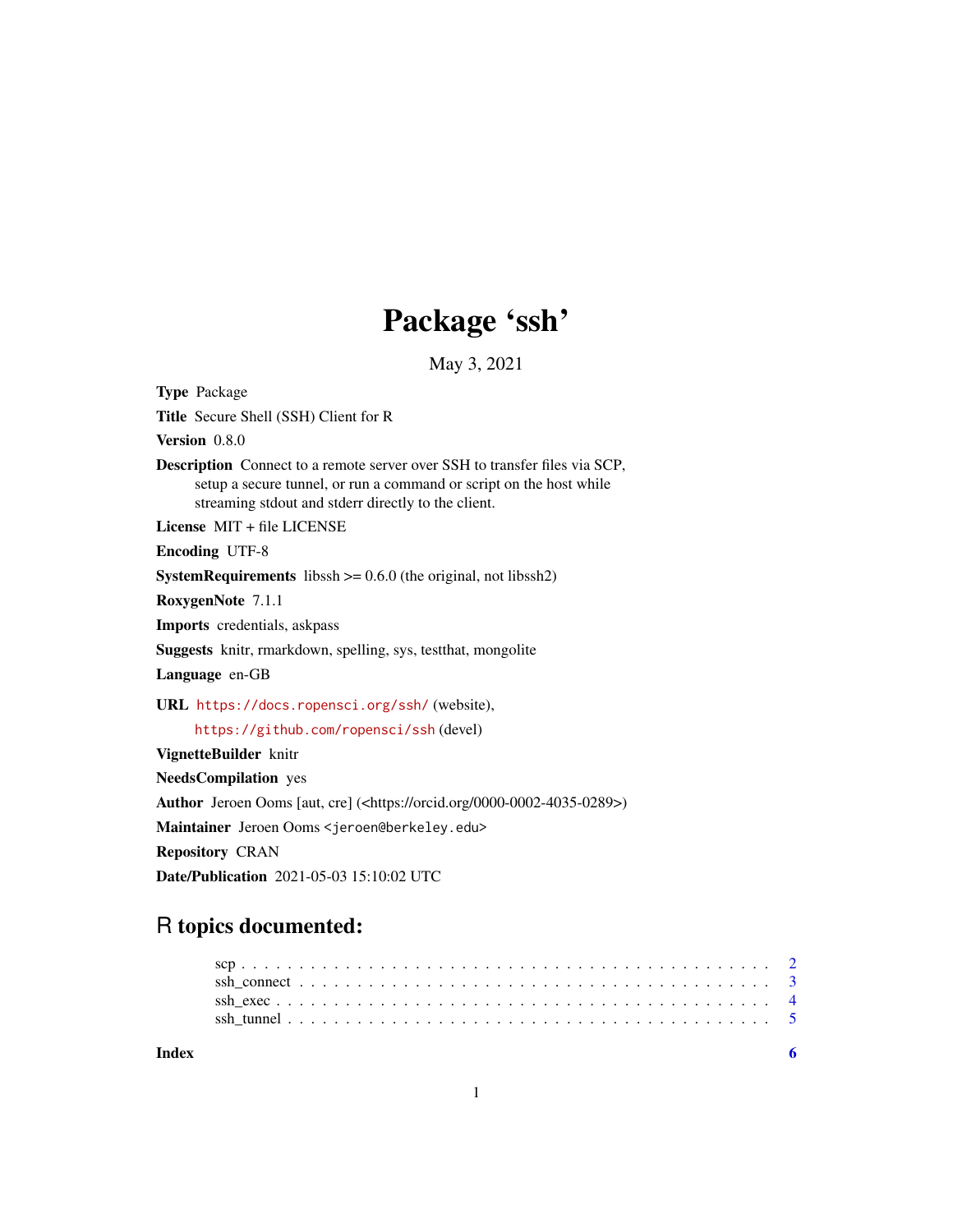# Package 'ssh'

May 3, 2021

<span id="page-0-0"></span>Type Package Title Secure Shell (SSH) Client for R Version 0.8.0 Description Connect to a remote server over SSH to transfer files via SCP, setup a secure tunnel, or run a command or script on the host while streaming stdout and stderr directly to the client. License MIT + file LICENSE Encoding UTF-8 **SystemRequirements** libssh  $>= 0.6.0$  (the original, not libssh2) RoxygenNote 7.1.1 Imports credentials, askpass Suggests knitr, rmarkdown, spelling, sys, testthat, mongolite Language en-GB URL <https://docs.ropensci.org/ssh/> (website), <https://github.com/ropensci/ssh> (devel) VignetteBuilder knitr NeedsCompilation yes Author Jeroen Ooms [aut, cre] (<https://orcid.org/0000-0002-4035-0289>) Maintainer Jeroen Ooms <jeroen@berkeley.edu> Repository CRAN

Date/Publication 2021-05-03 15:10:02 UTC

## R topics documented: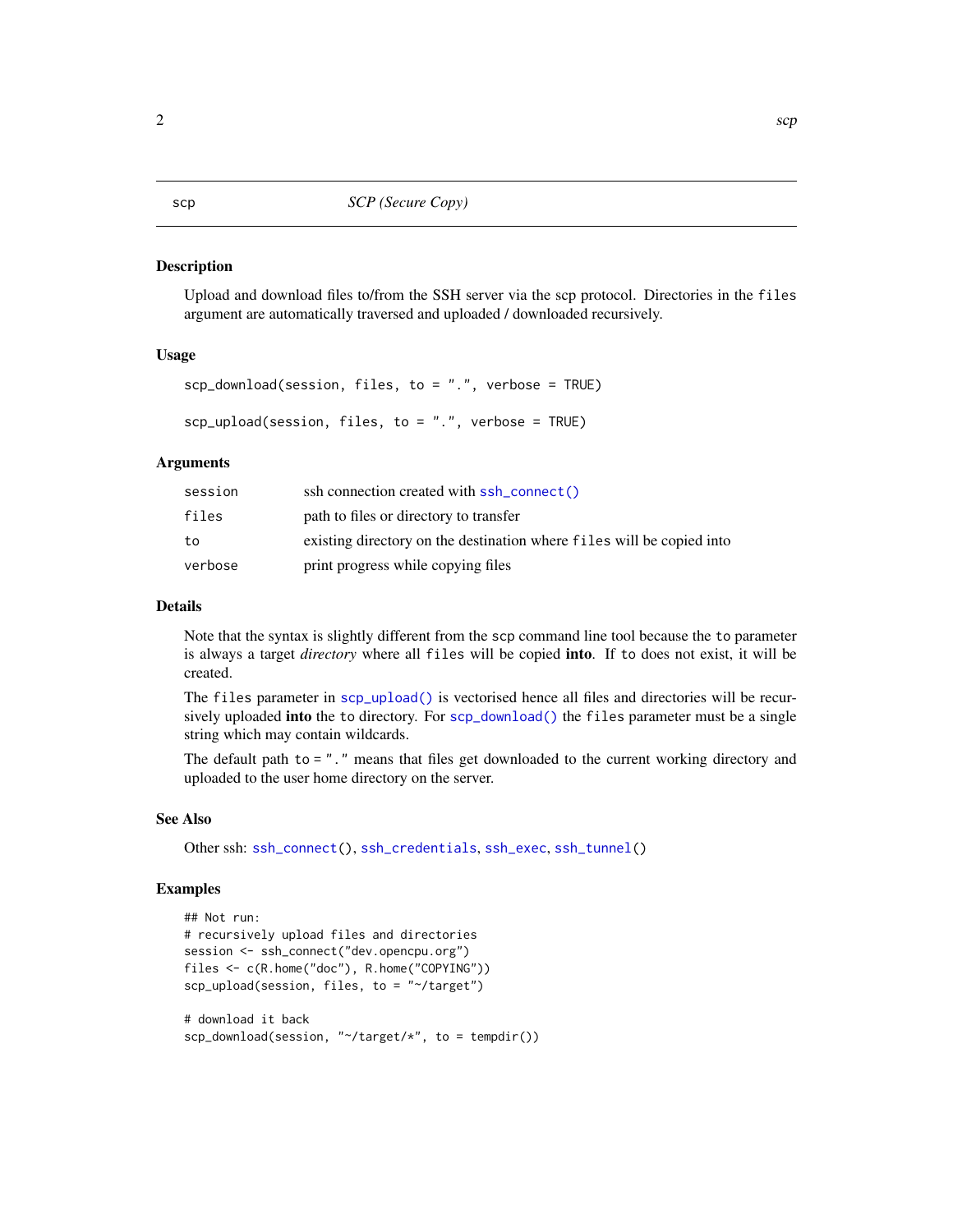#### <span id="page-1-1"></span>Description

Upload and download files to/from the SSH server via the scp protocol. Directories in the files argument are automatically traversed and uploaded / downloaded recursively.

#### Usage

```
scp_download(session, files, to = ".", verbose = TRUE)
```

```
scp_upload(session, files, to = ".", verbose = TRUE)
```
#### Arguments

| session | ssh connection created with ssh_connect()                             |
|---------|-----------------------------------------------------------------------|
| files   | path to files or directory to transfer                                |
| to      | existing directory on the destination where files will be copied into |
| verbose | print progress while copying files                                    |

#### Details

Note that the syntax is slightly different from the scp command line tool because the to parameter is always a target *directory* where all files will be copied into. If to does not exist, it will be created.

The files parameter in [scp\\_upload\(\)](#page-1-1) is vectorised hence all files and directories will be recursively uploaded into the to directory. For [scp\\_download\(\)](#page-1-1) the files parameter must be a single string which may contain wildcards.

The default path to = "." means that files get downloaded to the current working directory and uploaded to the user home directory on the server.

#### See Also

Other ssh: [ssh\\_connect\(](#page-2-1)), [ssh\\_credentials](#page-0-0), [ssh\\_exec](#page-3-1), [ssh\\_tunnel\(](#page-4-1))

#### Examples

```
## Not run:
# recursively upload files and directories
session <- ssh_connect("dev.opencpu.org")
files <- c(R.home("doc"), R.home("COPYING"))
scp_upload(session, files, to = "~/target")
# download it back
```

```
scp_download(session, "~/target/*", to = tempdir())
```
### <span id="page-1-2"></span><span id="page-1-0"></span>2 scp  $\sim$  scp  $\sim$  scp  $\sim$  scp  $\sim$  scp  $\sim$  scp  $\sim$  scp  $\sim$  scp  $\sim$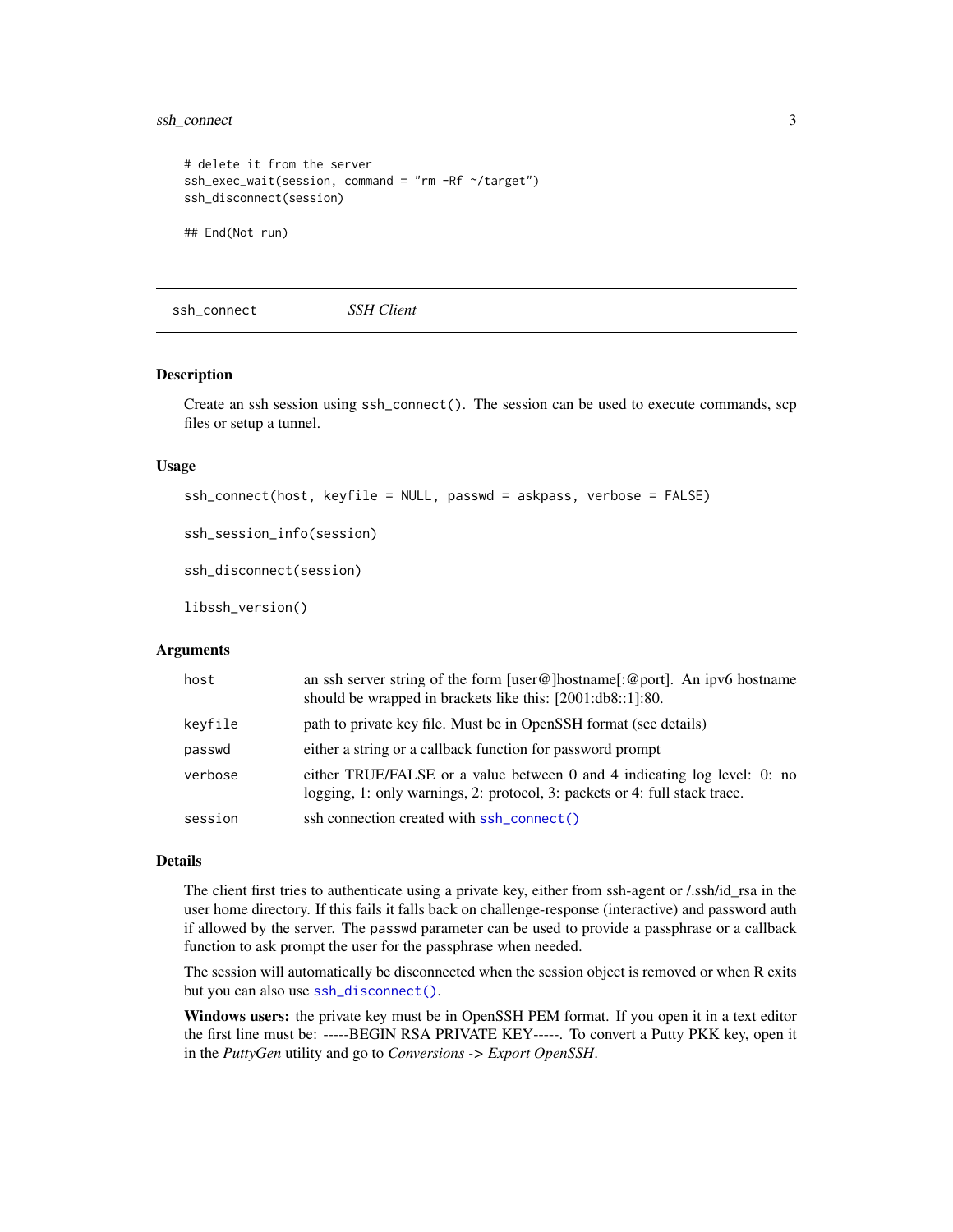#### <span id="page-2-0"></span>ssh\_connect 3

```
# delete it from the server
ssh_exec_wait(session, command = "rm -Rf ~/target")
ssh_disconnect(session)
## End(Not run)
```
<span id="page-2-1"></span>ssh\_connect *SSH Client*

#### <span id="page-2-2"></span>Description

Create an ssh session using ssh\_connect(). The session can be used to execute commands, scp files or setup a tunnel.

#### Usage

```
ssh_connect(host, keyfile = NULL, passwd = askpass, verbose = FALSE)
```

```
ssh_session_info(session)
```
ssh\_disconnect(session)

libssh\_version()

#### Arguments

| host    | an ssh server string of the form $[user@]$ hostname $[:@port]$ . An ipv6 hostname<br>should be wrapped in brackets like this: [2001:db8::1]:80.        |
|---------|--------------------------------------------------------------------------------------------------------------------------------------------------------|
| keyfile | path to private key file. Must be in OpenSSH format (see details)                                                                                      |
| passwd  | either a string or a callback function for password prompt                                                                                             |
| verbose | either TRUE/FALSE or a value between 0 and 4 indicating log level: 0: no<br>logging, 1: only warnings, 2: protocol, 3: packets or 4: full stack trace. |
| session | ssh connection created with ssh_connect()                                                                                                              |

#### Details

The client first tries to authenticate using a private key, either from ssh-agent or /.ssh/id\_rsa in the user home directory. If this fails it falls back on challenge-response (interactive) and password auth if allowed by the server. The passwd parameter can be used to provide a passphrase or a callback function to ask prompt the user for the passphrase when needed.

The session will automatically be disconnected when the session object is removed or when R exits but you can also use [ssh\\_disconnect\(\)](#page-2-2).

Windows users: the private key must be in OpenSSH PEM format. If you open it in a text editor the first line must be: -----BEGIN RSA PRIVATE KEY-----. To convert a Putty PKK key, open it in the *PuttyGen* utility and go to *Conversions -> Export OpenSSH*.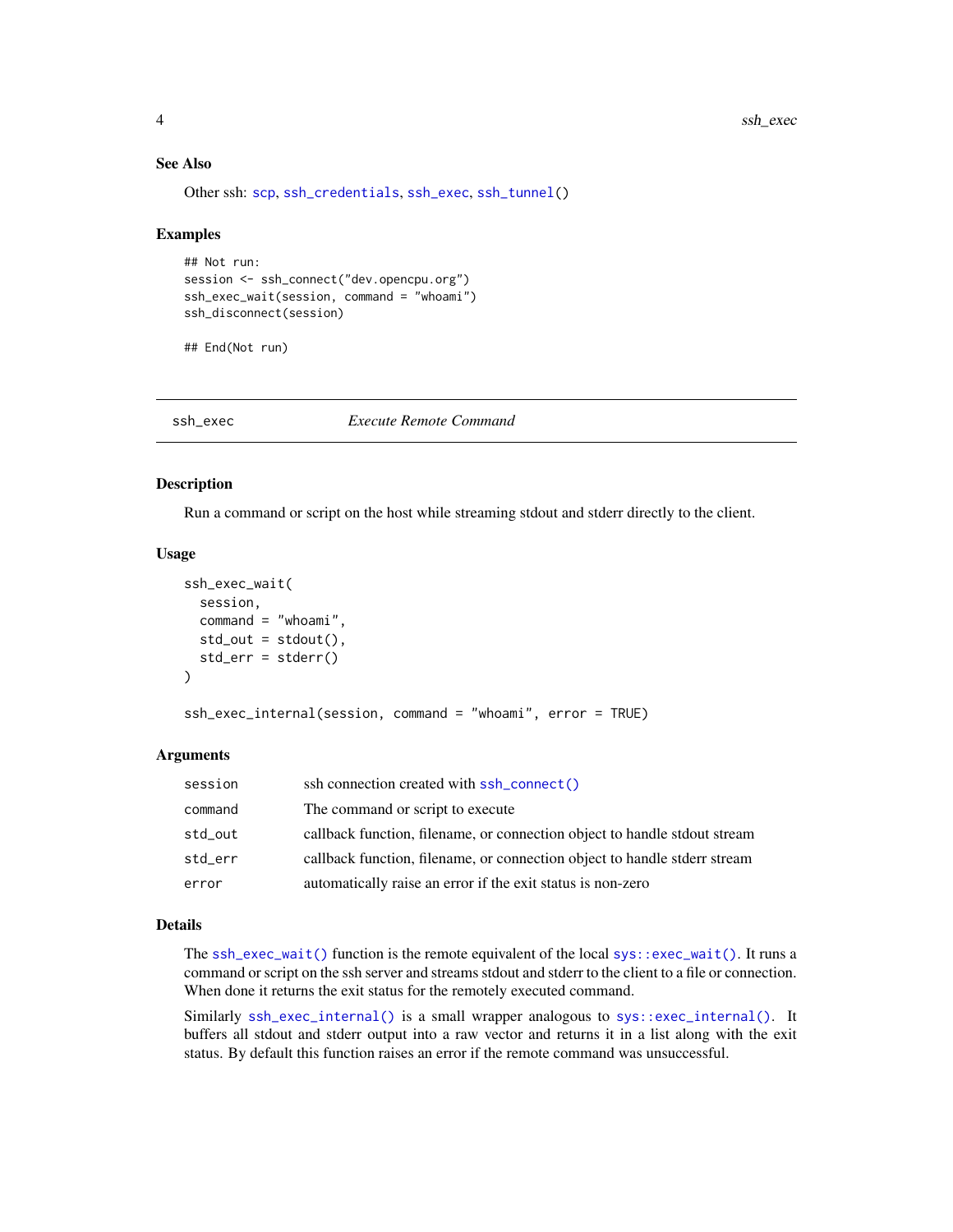#### See Also

Other ssh: [scp](#page-1-2), [ssh\\_credentials](#page-0-0), [ssh\\_exec](#page-3-1), [ssh\\_tunnel\(](#page-4-1))

#### Examples

```
## Not run:
session <- ssh_connect("dev.opencpu.org")
ssh_exec_wait(session, command = "whoami")
ssh_disconnect(session)
```
## End(Not run)

<span id="page-3-1"></span>ssh\_exec *Execute Remote Command*

#### <span id="page-3-2"></span>Description

Run a command or script on the host while streaming stdout and stderr directly to the client.

#### Usage

```
ssh_exec_wait(
  session,
  command = "whoami",
  std_out = stdout(),
  std_err = stderr()
)
```
ssh\_exec\_internal(session, command = "whoami", error = TRUE)

#### **Arguments**

| session | ssh connection created with ssh_connect()                                 |
|---------|---------------------------------------------------------------------------|
| command | The command or script to execute                                          |
| std_out | callback function, filename, or connection object to handle stdout stream |
| std_err | callback function, filename, or connection object to handle stderr stream |
| error   | automatically raise an error if the exit status is non-zero               |

#### Details

The  $\text{sh\_exec\_wait}()$  function is the remote equivalent of the local  $\text{sys::exec\_wait}()$ . It runs a command or script on the ssh server and streams stdout and stderr to the client to a file or connection. When done it returns the exit status for the remotely executed command.

Similarly [ssh\\_exec\\_internal\(\)](#page-3-2) is a small wrapper analogous to [sys::exec\\_internal\(\)](#page-0-0). It buffers all stdout and stderr output into a raw vector and returns it in a list along with the exit status. By default this function raises an error if the remote command was unsuccessful.

<span id="page-3-0"></span>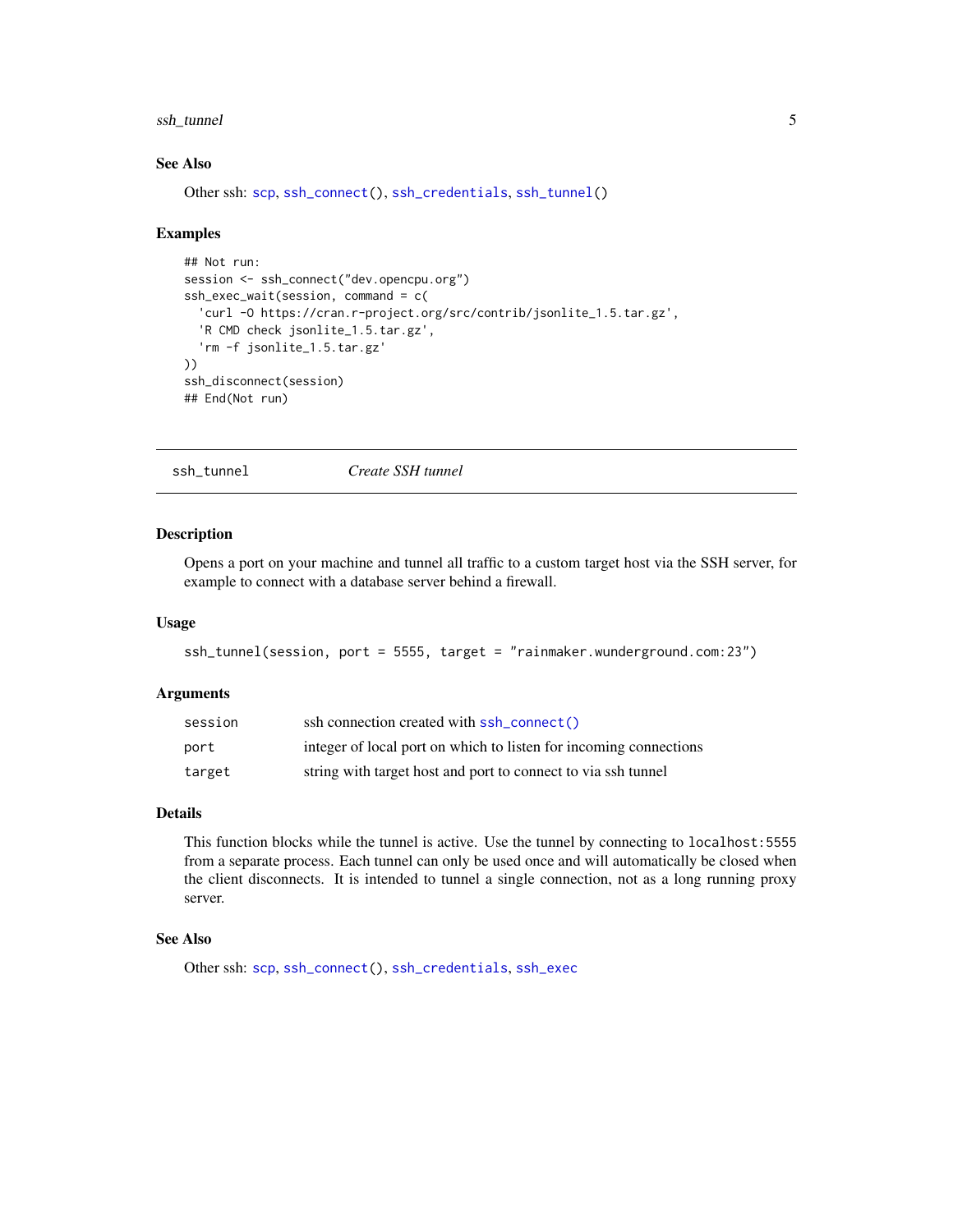#### <span id="page-4-0"></span>ssh\_tunnel 5

### See Also

Other ssh: [scp](#page-1-2), [ssh\\_connect\(](#page-2-1)), [ssh\\_credentials](#page-0-0), [ssh\\_tunnel\(](#page-4-1))

#### Examples

```
## Not run:
session <- ssh_connect("dev.opencpu.org")
ssh_exec_wait(session, command = c(
  'curl -O https://cran.r-project.org/src/contrib/jsonlite_1.5.tar.gz',
  'R CMD check jsonlite_1.5.tar.gz',
  'rm -f jsonlite_1.5.tar.gz'
))
ssh_disconnect(session)
## End(Not run)
```
<span id="page-4-1"></span>ssh\_tunnel *Create SSH tunnel*

#### Description

Opens a port on your machine and tunnel all traffic to a custom target host via the SSH server, for example to connect with a database server behind a firewall.

#### Usage

```
ssh_tunnel(session, port = 5555, target = "rainmaker.wunderground.com:23")
```
#### **Arguments**

| session | ssh connection created with ssh_connect()                         |
|---------|-------------------------------------------------------------------|
| port    | integer of local port on which to listen for incoming connections |
| target  | string with target host and port to connect to via ssh tunnel     |

#### Details

This function blocks while the tunnel is active. Use the tunnel by connecting to localhost:5555 from a separate process. Each tunnel can only be used once and will automatically be closed when the client disconnects. It is intended to tunnel a single connection, not as a long running proxy server.

#### See Also

Other ssh: [scp](#page-1-2), [ssh\\_connect\(](#page-2-1)), [ssh\\_credentials](#page-0-0), [ssh\\_exec](#page-3-1)